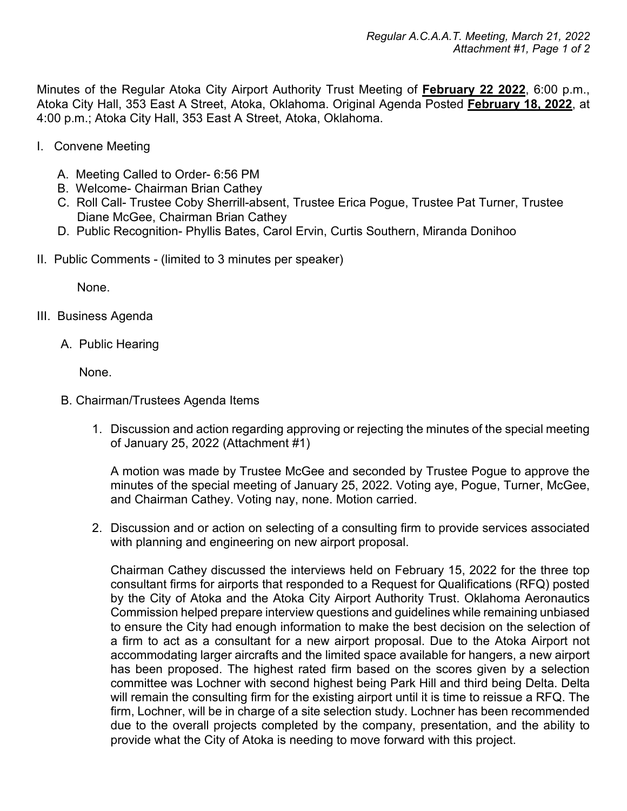Minutes of the Regular Atoka City Airport Authority Trust Meeting of **February 22 2022**, 6:00 p.m., Atoka City Hall, 353 East A Street, Atoka, Oklahoma. Original Agenda Posted **February 18, 2022**, at 4:00 p.m.; Atoka City Hall, 353 East A Street, Atoka, Oklahoma.

- I. Convene Meeting
	- A. Meeting Called to Order- 6:56 PM
	- B. Welcome- Chairman Brian Cathey
	- C. Roll Call- Trustee Coby Sherrill-absent, Trustee Erica Pogue, Trustee Pat Turner, Trustee Diane McGee, Chairman Brian Cathey
	- D. Public Recognition- Phyllis Bates, Carol Ervin, Curtis Southern, Miranda Donihoo
- II. Public Comments (limited to 3 minutes per speaker)

None.

- III. Business Agenda
	- A. Public Hearing

None.

- B. Chairman/Trustees Agenda Items
	- 1. Discussion and action regarding approving or rejecting the minutes of the special meeting of January 25, 2022 (Attachment #1)

A motion was made by Trustee McGee and seconded by Trustee Pogue to approve the minutes of the special meeting of January 25, 2022. Voting aye, Pogue, Turner, McGee, and Chairman Cathey. Voting nay, none. Motion carried.

2. Discussion and or action on selecting of a consulting firm to provide services associated with planning and engineering on new airport proposal.

Chairman Cathey discussed the interviews held on February 15, 2022 for the three top consultant firms for airports that responded to a Request for Qualifications (RFQ) posted by the City of Atoka and the Atoka City Airport Authority Trust. Oklahoma Aeronautics Commission helped prepare interview questions and guidelines while remaining unbiased to ensure the City had enough information to make the best decision on the selection of a firm to act as a consultant for a new airport proposal. Due to the Atoka Airport not accommodating larger aircrafts and the limited space available for hangers, a new airport has been proposed. The highest rated firm based on the scores given by a selection committee was Lochner with second highest being Park Hill and third being Delta. Delta will remain the consulting firm for the existing airport until it is time to reissue a RFQ. The firm, Lochner, will be in charge of a site selection study. Lochner has been recommended due to the overall projects completed by the company, presentation, and the ability to provide what the City of Atoka is needing to move forward with this project.